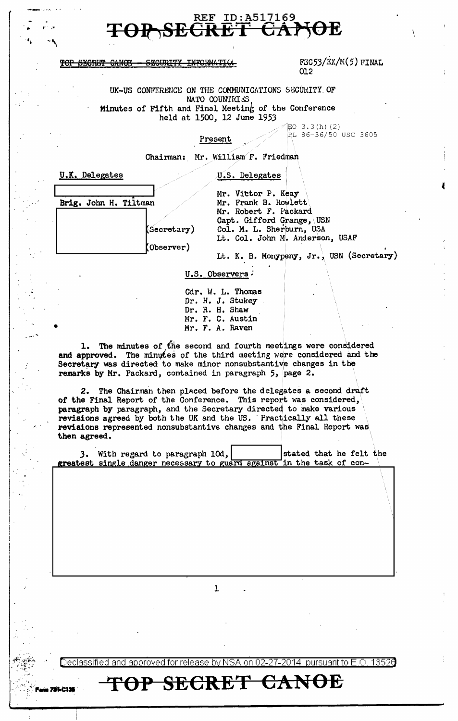

## TOP SECRET CANOE - SECURITY INFORMATION

FGC53/EX/M(5) FINAL 012

UK-US CONFERENCE ON THE COMMUNICATIONS SECURITY OF NATO COUNTRIES Minutes of Fifth and Final Meeting of the Conference held at 1500, 12 June 1953

## Present

EO  $3.3(h)$  (2) BL 86-36/50 USC 3605

Chairman: Mr. William F. Friedman

|  |  | U.S. Delegates |
|--|--|----------------|
|  |  |                |

| Brig. John H. Tiltman |                  |
|-----------------------|------------------|
|                       |                  |
|                       | (Secretary)      |
|                       | $(0$ bserver $)$ |

**U.K. Delegates** 

**75LC118** 

Mr. Vittor P. Keay Mr. Frank B. Rowlett Mr. Robert F. Packard Capt. Gifford Grange, USN Col. M. L. Sherburn, USA Lt. Col. John M. Anderson, USAF

Lt. K. B. Monypeny, Jr., USN (Secretary)

U.S. Observers

Cdr. W. L. Thomas Dr. H. J. Stukey Dr. R. H. Shaw Mr. F. C. Austin<br>Mr. F. A. Raven

1. The minutes of the second and fourth meetings were considered and approved. The minutes of the third meeting were considered and the Secretary was directed to make minor nonsubstantive changes in the remarks by Mr. Packard, contained in paragraph 5, page 2.

2. The Chairman then placed before the delegates a second draft of the Final Report of the Conference. This report was considered, paragraph by paragraph, and the Secretary directed to make various revisions agreed by both the UK and the US. Practically all these<br>revisions represented nonsubstantive changes and the Final Report was then agreed.

| 3. With regard to paragraph 10d,                                      | stated that he felt the |  |  |
|-----------------------------------------------------------------------|-------------------------|--|--|
| greatest single danger necessary to guard against in the task of con- |                         |  |  |

ı.

27-2014  $\,$  pursuant to E.O. 1352 $\rm d$ )eclassified and approved for release by NSA on 02-

OP SECRET CANOE